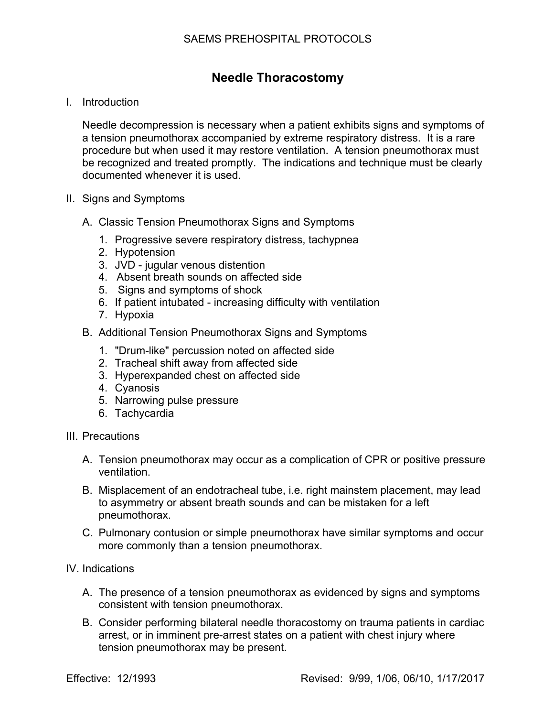## **Needle Thoracostomy**

I. Introduction

Needle decompression is necessary when a patient exhibits signs and symptoms of a tension pneumothorax accompanied by extreme respiratory distress. It is a rare procedure but when used it may restore ventilation. A tension pneumothorax must be recognized and treated promptly. The indications and technique must be clearly documented whenever it is used.

- II. Signs and Symptoms
	- A. Classic Tension Pneumothorax Signs and Symptoms
		- 1. Progressive severe respiratory distress, tachypnea
		- 2. Hypotension
		- 3. JVD jugular venous distention
		- 4. Absent breath sounds on affected side
		- 5. Signs and symptoms of shock
		- 6. If patient intubated increasing difficulty with ventilation
		- 7. Hypoxia
	- B. Additional Tension Pneumothorax Signs and Symptoms
		- 1. "Drum-like" percussion noted on affected side
		- 2. Tracheal shift away from affected side
		- 3. Hyperexpanded chest on affected side
		- 4. Cyanosis
		- 5. Narrowing pulse pressure
		- 6. Tachycardia
- III. Precautions
	- A. Tension pneumothorax may occur as a complication of CPR or positive pressure ventilation.
	- B. Misplacement of an endotracheal tube, i.e. right mainstem placement, may lead to asymmetry or absent breath sounds and can be mistaken for a left pneumothorax.
	- C. Pulmonary contusion or simple pneumothorax have similar symptoms and occur more commonly than a tension pneumothorax.
- IV. Indications
	- A. The presence of a tension pneumothorax as evidenced by signs and symptoms consistent with tension pneumothorax.
	- B. Consider performing bilateral needle thoracostomy on trauma patients in cardiac arrest, or in imminent pre-arrest states on a patient with chest injury where tension pneumothorax may be present.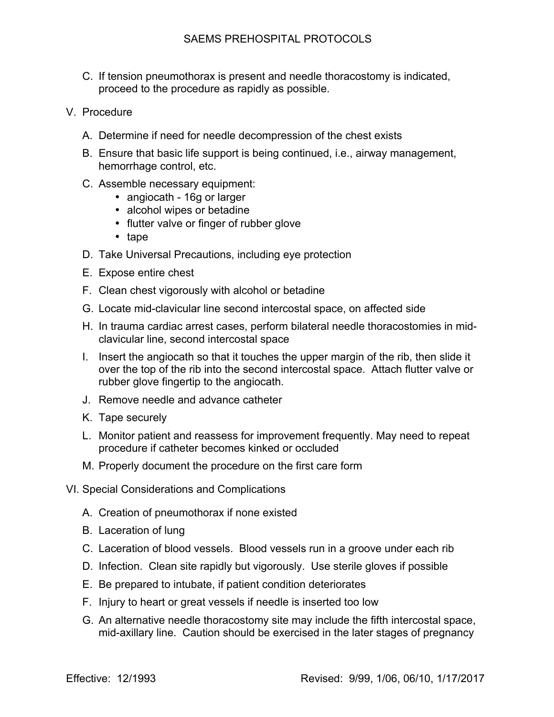- C. If tension pneumothorax is present and needle thoracostomy is indicated, proceed to the procedure as rapidly as possible.
- V. Procedure
	- A. Determine if need for needle decompression of the chest exists
	- B. Ensure that basic life support is being continued, i.e., airway management, hemorrhage control, etc.
	- C. Assemble necessary equipment:
		- angiocath 16g or larger
		- alcohol wipes or betadine
		- flutter valve or finger of rubber glove
		- tape
	- D. Take Universal Precautions, including eye protection
	- E. Expose entire chest
	- F. Clean chest vigorously with alcohol or betadine
	- G. Locate mid-clavicular line second intercostal space, on affected side
	- H. In trauma cardiac arrest cases, perform bilateral needle thoracostomies in midclavicular line, second intercostal space
	- I. Insert the angiocath so that it touches the upper margin of the rib, then slide it over the top of the rib into the second intercostal space. Attach flutter valve or rubber glove fingertip to the angiocath.
	- J. Remove needle and advance catheter
	- K. Tape securely
	- L. Monitor patient and reassess for improvement frequently. May need to repeat procedure if catheter becomes kinked or occluded
	- M. Properly document the procedure on the first care form
- VI. Special Considerations and Complications
	- A. Creation of pneumothorax if none existed
	- B. Laceration of lung
	- C. Laceration of blood vessels. Blood vessels run in a groove under each rib
	- D. Infection. Clean site rapidly but vigorously. Use sterile gloves if possible
	- E. Be prepared to intubate, if patient condition deteriorates
	- F. Injury to heart or great vessels if needle is inserted too low
	- G. An alternative needle thoracostomy site may include the fifth intercostal space, mid-axillary line. Caution should be exercised in the later stages of pregnancy